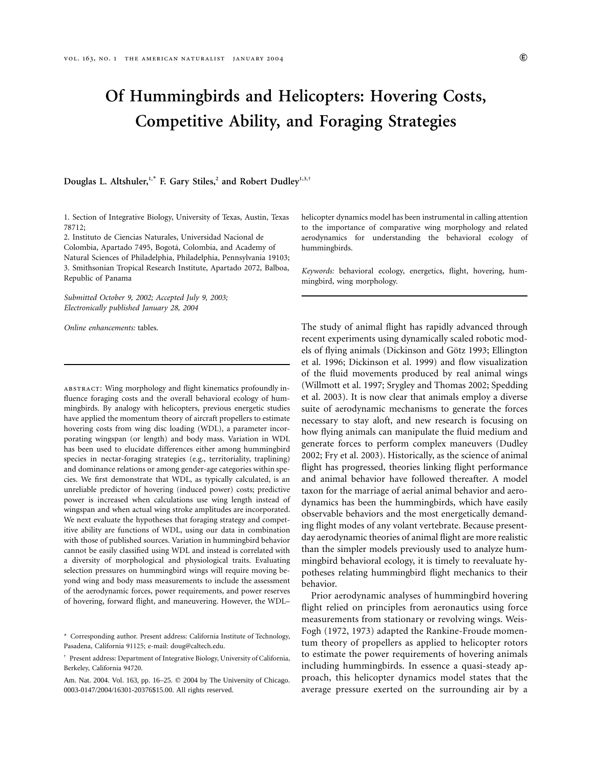# **Of Hummingbirds and Helicopters: Hovering Costs, Competitive Ability, and Foraging Strategies**

# **Douglas L. Altshuler,1,**\* **F. Gary Stiles,<sup>2</sup> and Robert Dudley1,3,**†

1. Section of Integrative Biology, University of Texas, Austin, Texas 78712;

2. Instituto de Ciencias Naturales, Universidad Nacional de Colombia, Apartado 7495, Bogota´, Colombia, and Academy of Natural Sciences of Philadelphia, Philadelphia, Pennsylvania 19103; 3. Smithsonian Tropical Research Institute, Apartado 2072, Balboa, Republic of Panama

*Submitted October 9, 2002; Accepted July 9, 2003; Electronically published January 28, 2004*

*Online enhancements:* tables.

abstract: Wing morphology and flight kinematics profoundly influence foraging costs and the overall behavioral ecology of hummingbirds. By analogy with helicopters, previous energetic studies have applied the momentum theory of aircraft propellers to estimate hovering costs from wing disc loading (WDL), a parameter incorporating wingspan (or length) and body mass. Variation in WDL has been used to elucidate differences either among hummingbird species in nectar-foraging strategies (e.g., territoriality, traplining) and dominance relations or among gender-age categories within species. We first demonstrate that WDL, as typically calculated, is an unreliable predictor of hovering (induced power) costs; predictive power is increased when calculations use wing length instead of wingspan and when actual wing stroke amplitudes are incorporated. We next evaluate the hypotheses that foraging strategy and competitive ability are functions of WDL, using our data in combination with those of published sources. Variation in hummingbird behavior cannot be easily classified using WDL and instead is correlated with a diversity of morphological and physiological traits. Evaluating selection pressures on hummingbird wings will require moving beyond wing and body mass measurements to include the assessment of the aerodynamic forces, power requirements, and power reserves of hovering, forward flight, and maneuvering. However, the WDL–

helicopter dynamics model has been instrumental in calling attention to the importance of comparative wing morphology and related aerodynamics for understanding the behavioral ecology of hummingbirds.

*Keywords:* behavioral ecology, energetics, flight, hovering, hummingbird, wing morphology.

The study of animal flight has rapidly advanced through recent experiments using dynamically scaled robotic models of flying animals (Dickinson and Götz 1993; Ellington et al. 1996; Dickinson et al. 1999) and flow visualization of the fluid movements produced by real animal wings (Willmott et al. 1997; Srygley and Thomas 2002; Spedding et al. 2003). It is now clear that animals employ a diverse suite of aerodynamic mechanisms to generate the forces necessary to stay aloft, and new research is focusing on how flying animals can manipulate the fluid medium and generate forces to perform complex maneuvers (Dudley 2002; Fry et al. 2003). Historically, as the science of animal flight has progressed, theories linking flight performance and animal behavior have followed thereafter. A model taxon for the marriage of aerial animal behavior and aerodynamics has been the hummingbirds, which have easily observable behaviors and the most energetically demanding flight modes of any volant vertebrate. Because presentday aerodynamic theories of animal flight are more realistic than the simpler models previously used to analyze hummingbird behavioral ecology, it is timely to reevaluate hypotheses relating hummingbird flight mechanics to their behavior.

Prior aerodynamic analyses of hummingbird hovering flight relied on principles from aeronautics using force measurements from stationary or revolving wings. Weis-Fogh (1972, 1973) adapted the Rankine-Froude momentum theory of propellers as applied to helicopter rotors to estimate the power requirements of hovering animals including hummingbirds. In essence a quasi-steady approach, this helicopter dynamics model states that the average pressure exerted on the surrounding air by a

<sup>\*</sup> Corresponding author. Present address: California Institute of Technology, Pasadena, California 91125; e-mail: doug@caltech.edu.

<sup>†</sup> Present address: Department of Integrative Biology, University of California, Berkeley, California 94720.

Am. Nat. 2004. Vol. 163, pp. 16-25. © 2004 by The University of Chicago. 0003-0147/2004/16301-20376\$15.00. All rights reserved.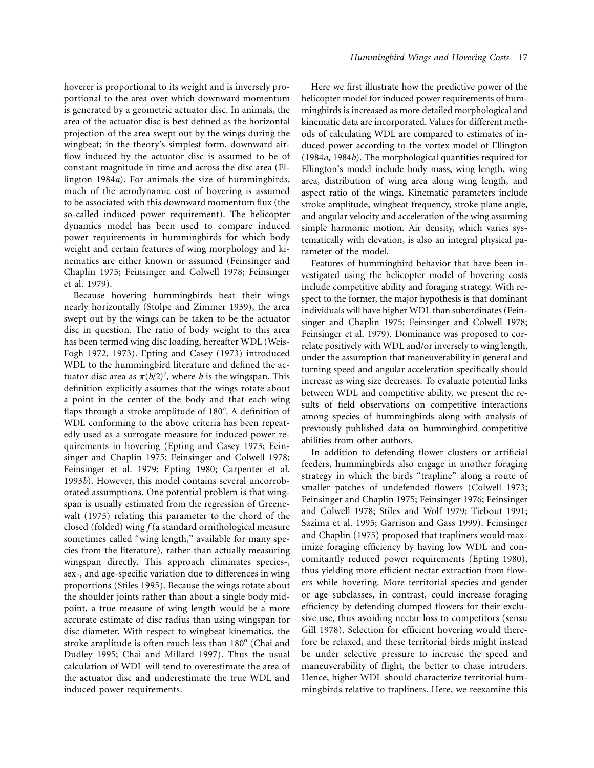hoverer is proportional to its weight and is inversely proportional to the area over which downward momentum is generated by a geometric actuator disc. In animals, the area of the actuator disc is best defined as the horizontal projection of the area swept out by the wings during the wingbeat; in the theory's simplest form, downward airflow induced by the actuator disc is assumed to be of constant magnitude in time and across the disc area (Ellington 1984*a*). For animals the size of hummingbirds, much of the aerodynamic cost of hovering is assumed to be associated with this downward momentum flux (the so-called induced power requirement). The helicopter dynamics model has been used to compare induced power requirements in hummingbirds for which body weight and certain features of wing morphology and kinematics are either known or assumed (Feinsinger and Chaplin 1975; Feinsinger and Colwell 1978; Feinsinger et al. 1979).

Because hovering hummingbirds beat their wings nearly horizontally (Stolpe and Zimmer 1939), the area swept out by the wings can be taken to be the actuator disc in question. The ratio of body weight to this area has been termed wing disc loading, hereafter WDL (Weis-Fogh 1972, 1973). Epting and Casey (1973) introduced WDL to the hummingbird literature and defined the actuator disc area as  $\pi (b/2)^2$ , where *b* is the wingspan. This definition explicitly assumes that the wings rotate about a point in the center of the body and that each wing flaps through a stroke amplitude of 180°. A definition of WDL conforming to the above criteria has been repeatedly used as a surrogate measure for induced power requirements in hovering (Epting and Casey 1973; Feinsinger and Chaplin 1975; Feinsinger and Colwell 1978; Feinsinger et al. 1979; Epting 1980; Carpenter et al. 1993*b*). However, this model contains several uncorroborated assumptions. One potential problem is that wingspan is usually estimated from the regression of Greenewalt (1975) relating this parameter to the chord of the closed (folded) wing *f* (a standard ornithological measure sometimes called "wing length," available for many species from the literature), rather than actually measuring wingspan directly. This approach eliminates species-, sex-, and age-specific variation due to differences in wing proportions (Stiles 1995). Because the wings rotate about the shoulder joints rather than about a single body midpoint, a true measure of wing length would be a more accurate estimate of disc radius than using wingspan for disc diameter. With respect to wingbeat kinematics, the stroke amplitude is often much less than 180° (Chai and Dudley 1995; Chai and Millard 1997). Thus the usual calculation of WDL will tend to overestimate the area of the actuator disc and underestimate the true WDL and induced power requirements.

Here we first illustrate how the predictive power of the helicopter model for induced power requirements of hummingbirds is increased as more detailed morphological and kinematic data are incorporated. Values for different methods of calculating WDL are compared to estimates of induced power according to the vortex model of Ellington (1984*a*, 1984*b*). The morphological quantities required for Ellington's model include body mass, wing length, wing area, distribution of wing area along wing length, and aspect ratio of the wings. Kinematic parameters include stroke amplitude, wingbeat frequency, stroke plane angle, and angular velocity and acceleration of the wing assuming simple harmonic motion. Air density, which varies systematically with elevation, is also an integral physical parameter of the model.

Features of hummingbird behavior that have been investigated using the helicopter model of hovering costs include competitive ability and foraging strategy. With respect to the former, the major hypothesis is that dominant individuals will have higher WDL than subordinates (Feinsinger and Chaplin 1975; Feinsinger and Colwell 1978; Feinsinger et al. 1979). Dominance was proposed to correlate positively with WDL and/or inversely to wing length, under the assumption that maneuverability in general and turning speed and angular acceleration specifically should increase as wing size decreases. To evaluate potential links between WDL and competitive ability, we present the results of field observations on competitive interactions among species of hummingbirds along with analysis of previously published data on hummingbird competitive abilities from other authors.

In addition to defending flower clusters or artificial feeders, hummingbirds also engage in another foraging strategy in which the birds "trapline" along a route of smaller patches of undefended flowers (Colwell 1973; Feinsinger and Chaplin 1975; Feinsinger 1976; Feinsinger and Colwell 1978; Stiles and Wolf 1979; Tiebout 1991; Sazima et al. 1995; Garrison and Gass 1999). Feinsinger and Chaplin (1975) proposed that trapliners would maximize foraging efficiency by having low WDL and concomitantly reduced power requirements (Epting 1980), thus yielding more efficient nectar extraction from flowers while hovering. More territorial species and gender or age subclasses, in contrast, could increase foraging efficiency by defending clumped flowers for their exclusive use, thus avoiding nectar loss to competitors (sensu Gill 1978). Selection for efficient hovering would therefore be relaxed, and these territorial birds might instead be under selective pressure to increase the speed and maneuverability of flight, the better to chase intruders. Hence, higher WDL should characterize territorial hummingbirds relative to trapliners. Here, we reexamine this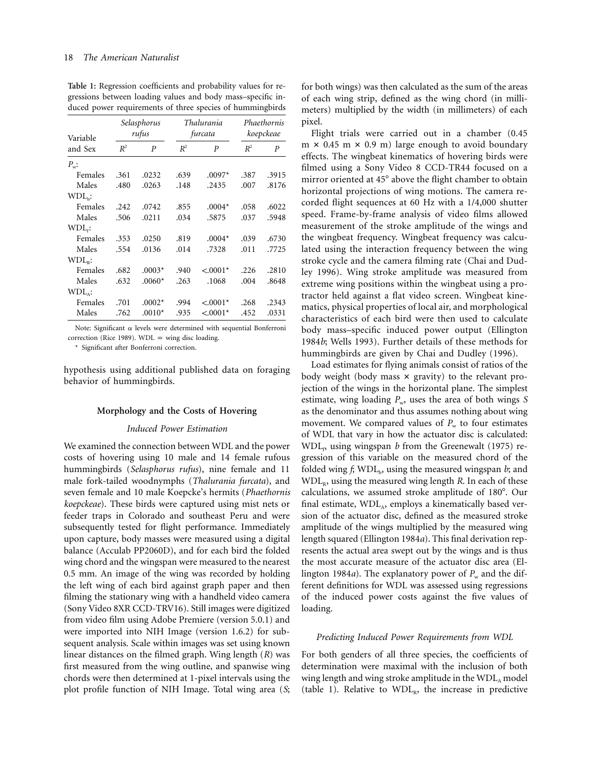| Variable<br>and Sex | Selasphorus<br>rufus |          | <i>Thalurania</i><br>furcata |            | Phaethornis<br>koepckeae |                  |
|---------------------|----------------------|----------|------------------------------|------------|--------------------------|------------------|
|                     | $R^2$                | P        | $R^2$                        | P          | $R^2$                    | $\boldsymbol{P}$ |
| $P_{w}:$            |                      |          |                              |            |                          |                  |
| Females             | .361                 | .0232    | .639                         | $.0097*$   | .387                     | .3915            |
| Males               | .480                 | .0263    | .148                         | .2435      | .007                     | .8176            |
| $WDLb$ :            |                      |          |                              |            |                          |                  |
| Females             | .242                 | .0742    | .855                         | $.0004*$   | .058                     | .6022            |
| Males               | .506                 | .0211    | .034                         | .5875      | .037                     | .5948            |
| $WDLf$ :            |                      |          |                              |            |                          |                  |
| Females             | .353                 | .0250    | .819                         | $.0004*$   | .039                     | .6730            |
| Males               | .554                 | .0136    | .014                         | .7328      | .011                     | .7725            |
| $WDLD$ :            |                      |          |                              |            |                          |                  |
| Females             | .682                 | $.0003*$ | .940                         | $< 0.001*$ | .226                     | .2810            |
| Males               | .632                 | $.0060*$ | .263                         | .1068      | .004                     | .8648            |
| $WDLa$ :            |                      |          |                              |            |                          |                  |
| Females             | .701                 | $.0002*$ | .994                         | $< .0001*$ | .268                     | .2343            |
| Males               | .762                 | $.0010*$ | .935                         | $< .0001*$ | .452                     | .0331            |

**Table 1:** Regression coefficients and probability values for regressions between loading values and body mass–specific induced power requirements of three species of hummingbirds

Note: Significant  $\alpha$  levels were determined with sequential Bonferroni correction (Rice 1989).  $WDL =$  wing disc loading.

\* Significant after Bonferroni correction.

hypothesis using additional published data on foraging behavior of hummingbirds.

## **Morphology and the Costs of Hovering**

#### *Induced Power Estimation*

We examined the connection between WDL and the power costs of hovering using 10 male and 14 female rufous hummingbirds (*Selasphorus rufus*), nine female and 11 male fork-tailed woodnymphs (*Thalurania furcata*), and seven female and 10 male Koepcke's hermits (*Phaethornis koepckeae*). These birds were captured using mist nets or feeder traps in Colorado and southeast Peru and were subsequently tested for flight performance. Immediately upon capture, body masses were measured using a digital balance (Acculab PP2060D), and for each bird the folded wing chord and the wingspan were measured to the nearest 0.5 mm. An image of the wing was recorded by holding the left wing of each bird against graph paper and then filming the stationary wing with a handheld video camera (Sony Video 8XR CCD-TRV16). Still images were digitized from video film using Adobe Premiere (version 5.0.1) and were imported into NIH Image (version 1.6.2) for subsequent analysis. Scale within images was set using known linear distances on the filmed graph. Wing length (*R*) was first measured from the wing outline, and spanwise wing chords were then determined at 1-pixel intervals using the plot profile function of NIH Image. Total wing area (*S*;

for both wings) was then calculated as the sum of the areas of each wing strip, defined as the wing chord (in millimeters) multiplied by the width (in millimeters) of each pixel.

Flight trials were carried out in a chamber (0.45  $m \times 0.45$  m  $\times 0.9$  m) large enough to avoid boundary effects. The wingbeat kinematics of hovering birds were filmed using a Sony Video 8 CCD-TR44 focused on a mirror oriented at 45° above the flight chamber to obtain horizontal projections of wing motions. The camera recorded flight sequences at 60 Hz with a 1/4,000 shutter speed. Frame-by-frame analysis of video films allowed measurement of the stroke amplitude of the wings and the wingbeat frequency. Wingbeat frequency was calculated using the interaction frequency between the wing stroke cycle and the camera filming rate (Chai and Dudley 1996). Wing stroke amplitude was measured from extreme wing positions within the wingbeat using a protractor held against a flat video screen. Wingbeat kinematics, physical properties of local air, and morphological characteristics of each bird were then used to calculate body mass–specific induced power output (Ellington 1984*b*; Wells 1993). Further details of these methods for hummingbirds are given by Chai and Dudley (1996).

Load estimates for flying animals consist of ratios of the body weight (body mass  $\times$  gravity) to the relevant projection of the wings in the horizontal plane. The simplest estimate, wing loading  $P_w$ , uses the area of both wings *S* as the denominator and thus assumes nothing about wing movement. We compared values of  $P_w$  to four estimates of WDL that vary in how the actuator disc is calculated:  $WDL<sub>p</sub>$  using wingspan *b* from the Greenewalt (1975) regression of this variable on the measured chord of the folded wing  $f$ ; WDL<sub>b</sub>, using the measured wingspan  $b$ ; and WDL<sub>R</sub>, using the measured wing length *R*. In each of these calculations, we assumed stroke amplitude of 180°. Our final estimate,  $WDL<sub>A</sub>$ , employs a kinematically based version of the actuator disc, defined as the measured stroke amplitude of the wings multiplied by the measured wing length squared (Ellington 1984*a*). This final derivation represents the actual area swept out by the wings and is thus the most accurate measure of the actuator disc area (Ellington 1984*a*). The explanatory power of  $P_w$  and the different definitions for WDL was assessed using regressions of the induced power costs against the five values of loading.

#### *Predicting Induced Power Requirements from WDL*

For both genders of all three species, the coefficients of determination were maximal with the inclusion of both wing length and wing stroke amplitude in the  $WDL<sub>A</sub>$  model (table 1). Relative to  $WDL<sub>R</sub>$ , the increase in predictive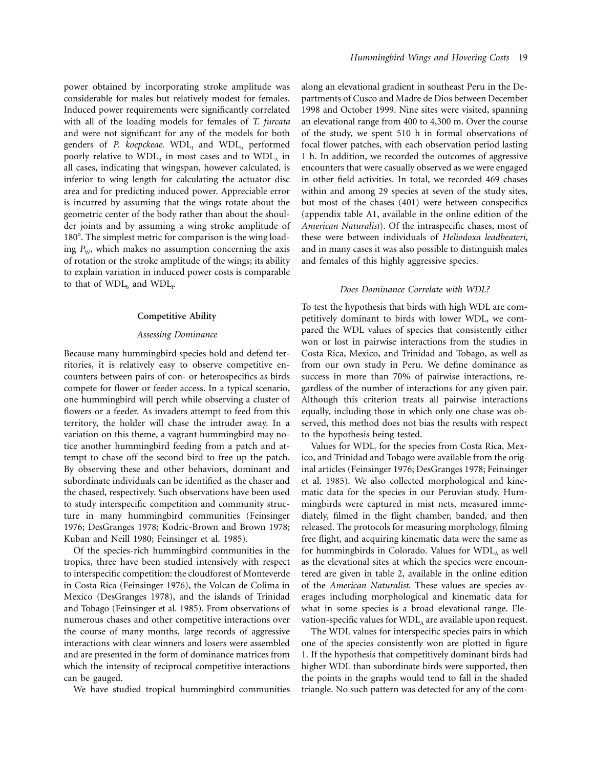power obtained by incorporating stroke amplitude was considerable for males but relatively modest for females. Induced power requirements were significantly correlated with all of the loading models for females of *T. furcata* and were not significant for any of the models for both genders of *P. koepckeae*. WDL<sub>f</sub> and WDL<sub>b</sub> performed poorly relative to  $WDL<sub>R</sub>$  in most cases and to  $WDL<sub>A</sub>$  in all cases, indicating that wingspan, however calculated, is inferior to wing length for calculating the actuator disc area and for predicting induced power. Appreciable error is incurred by assuming that the wings rotate about the geometric center of the body rather than about the shoulder joints and by assuming a wing stroke amplitude of 180°. The simplest metric for comparison is the wing loading  $P_w$ , which makes no assumption concerning the axis of rotation or the stroke amplitude of the wings; its ability to explain variation in induced power costs is comparable to that of  $\mathrm{WDL}_b$  and  $\mathrm{WDL}_f$ .

#### **Competitive Ability**

#### *Assessing Dominance*

Because many hummingbird species hold and defend territories, it is relatively easy to observe competitive encounters between pairs of con- or heterospecifics as birds compete for flower or feeder access. In a typical scenario, one hummingbird will perch while observing a cluster of flowers or a feeder. As invaders attempt to feed from this territory, the holder will chase the intruder away. In a variation on this theme, a vagrant hummingbird may notice another hummingbird feeding from a patch and attempt to chase off the second bird to free up the patch. By observing these and other behaviors, dominant and subordinate individuals can be identified as the chaser and the chased, respectively. Such observations have been used to study interspecific competition and community structure in many hummingbird communities (Feinsinger 1976; DesGranges 1978; Kodric-Brown and Brown 1978; Kuban and Neill 1980; Feinsinger et al. 1985).

Of the species-rich hummingbird communities in the tropics, three have been studied intensively with respect to interspecific competition: the cloudforest of Monteverde in Costa Rica (Feinsinger 1976), the Volcan de Colima in Mexico (DesGranges 1978), and the islands of Trinidad and Tobago (Feinsinger et al. 1985). From observations of numerous chases and other competitive interactions over the course of many months, large records of aggressive interactions with clear winners and losers were assembled and are presented in the form of dominance matrices from which the intensity of reciprocal competitive interactions can be gauged.

We have studied tropical hummingbird communities

along an elevational gradient in southeast Peru in the Departments of Cusco and Madre de Dios between December 1998 and October 1999. Nine sites were visited, spanning an elevational range from 400 to 4,300 m. Over the course of the study, we spent 510 h in formal observations of focal flower patches, with each observation period lasting 1 h. In addition, we recorded the outcomes of aggressive encounters that were casually observed as we were engaged in other field activities. In total, we recorded 469 chases within and among 29 species at seven of the study sites, but most of the chases (401) were between conspecifics (appendix table A1, available in the online edition of the *American Naturalist*). Of the intraspecific chases, most of these were between individuals of *Heliodoxa leadbeateri*, and in many cases it was also possible to distinguish males and females of this highly aggressive species.

#### *Does Dominance Correlate with WDL?*

To test the hypothesis that birds with high WDL are competitively dominant to birds with lower WDL, we compared the WDL values of species that consistently either won or lost in pairwise interactions from the studies in Costa Rica, Mexico, and Trinidad and Tobago, as well as from our own study in Peru. We define dominance as success in more than 70% of pairwise interactions, regardless of the number of interactions for any given pair. Although this criterion treats all pairwise interactions equally, including those in which only one chase was observed, this method does not bias the results with respect to the hypothesis being tested.

Values for  $WDL<sub>f</sub>$  for the species from Costa Rica, Mexico, and Trinidad and Tobago were available from the original articles (Feinsinger 1976; DesGranges 1978; Feinsinger et al. 1985). We also collected morphological and kinematic data for the species in our Peruvian study. Hummingbirds were captured in mist nets, measured immediately, filmed in the flight chamber, banded, and then released. The protocols for measuring morphology, filming free flight, and acquiring kinematic data were the same as for hummingbirds in Colorado. Values for  $WDL<sub>A</sub>$  as well as the elevational sites at which the species were encountered are given in table 2, available in the online edition of the *American Naturalist*. These values are species averages including morphological and kinematic data for what in some species is a broad elevational range. Elevation-specific values for  $WDL<sub>A</sub>$  are available upon request.

The WDL values for interspecific species pairs in which one of the species consistently won are plotted in figure 1. If the hypothesis that competitively dominant birds had higher WDL than subordinate birds were supported, then the points in the graphs would tend to fall in the shaded triangle. No such pattern was detected for any of the com-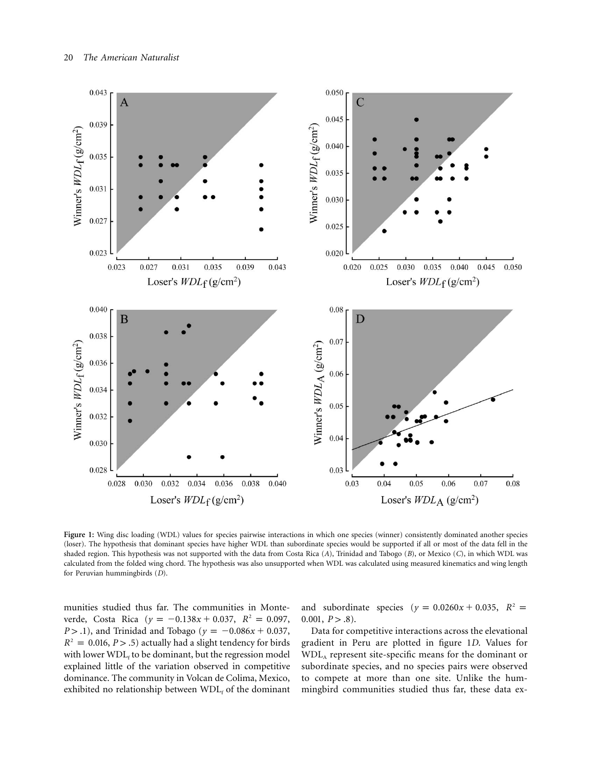

Figure 1: Wing disc loading (WDL) values for species pairwise interactions in which one species (winner) consistently dominated another species (loser). The hypothesis that dominant species have higher WDL than subordinate species would be supported if all or most of the data fell in the shaded region. This hypothesis was not supported with the data from Costa Rica (*A*), Trinidad and Tabogo (*B*), or Mexico (*C*), in which WDL was calculated from the folded wing chord. The hypothesis was also unsupported when WDL was calculated using measured kinematics and wing length for Peruvian hummingbirds (*D*).

munities studied thus far. The communities in Monteverde, Costa Rica ( $y = -0.138x + 0.037$ ,  $R^2 = 0.097$ , *P* > .1), and Trinidad and Tobago ( $y = -0.086x + 0.037$ ,  $R^2 = 0.016$ ,  $P > .5$ ) actually had a slight tendency for birds with lower  $WDL<sub>f</sub>$  to be dominant, but the regression model explained little of the variation observed in competitive dominance. The community in Volcan de Colima, Mexico, exhibited no relationship between  $WDL<sub>f</sub>$  of the dominant

and subordinate species ( $y = 0.0260x + 0.035$ ,  $R^2 =$ 0.001,  $P > .8$ ).

Data for competitive interactions across the elevational gradient in Peru are plotted in figure 1*D*. Values for WDLA represent site-specific means for the dominant or subordinate species, and no species pairs were observed to compete at more than one site. Unlike the hummingbird communities studied thus far, these data ex-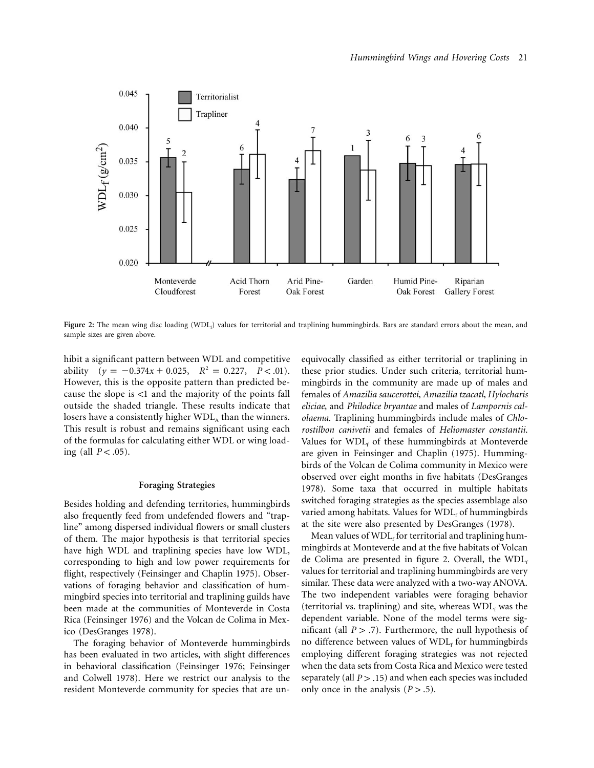

Figure 2: The mean wing disc loading (WDL<sub>t</sub>) values for territorial and traplining hummingbirds. Bars are standard errors about the mean, and sample sizes are given above.

hibit a significant pattern between WDL and competitive ability  $(y = -0.374x + 0.025, R^2 = 0.227, P < .01)$ . However, this is the opposite pattern than predicted because the slope is  $\lt 1$  and the majority of the points fall outside the shaded triangle. These results indicate that losers have a consistently higher  $WDL<sub>a</sub>$  than the winners. This result is robust and remains significant using each of the formulas for calculating either WDL or wing loading (all  $P < .05$ ).

# **Foraging Strategies**

Besides holding and defending territories, hummingbirds also frequently feed from undefended flowers and "trapline" among dispersed individual flowers or small clusters of them. The major hypothesis is that territorial species have high WDL and traplining species have low WDL, corresponding to high and low power requirements for flight, respectively (Feinsinger and Chaplin 1975). Observations of foraging behavior and classification of hummingbird species into territorial and traplining guilds have been made at the communities of Monteverde in Costa Rica (Feinsinger 1976) and the Volcan de Colima in Mexico (DesGranges 1978).

The foraging behavior of Monteverde hummingbirds has been evaluated in two articles, with slight differences in behavioral classification (Feinsinger 1976; Feinsinger and Colwell 1978). Here we restrict our analysis to the resident Monteverde community for species that are unequivocally classified as either territorial or traplining in these prior studies. Under such criteria, territorial hummingbirds in the community are made up of males and females of *Amazilia saucerottei*, *Amazilia tzacatl*, *Hylocharis eliciae*, and *Philodice bryantae* and males of *Lampornis calolaema*. Traplining hummingbirds include males of *Chlorostilbon canivetii* and females of *Heliomaster constantii*. Values for  $WDL<sub>f</sub>$  of these hummingbirds at Monteverde are given in Feinsinger and Chaplin (1975). Hummingbirds of the Volcan de Colima community in Mexico were observed over eight months in five habitats (DesGranges 1978). Some taxa that occurred in multiple habitats switched foraging strategies as the species assemblage also varied among habitats. Values for  $WDL<sub>f</sub>$  of hummingbirds at the site were also presented by DesGranges (1978).

Mean values of  $WDL<sub>f</sub>$  for territorial and traplining hummingbirds at Monteverde and at the five habitats of Volcan de Colima are presented in figure 2. Overall, the  $WDL_f$ values for territorial and traplining hummingbirds are very similar. These data were analyzed with a two-way ANOVA. The two independent variables were foraging behavior (territorial vs. traplining) and site, whereas  $WDL<sub>f</sub>$  was the dependent variable. None of the model terms were significant (all  $P > .7$ ). Furthermore, the null hypothesis of no difference between values of  $WDL<sub>f</sub>$  for hummingbirds employing different foraging strategies was not rejected when the data sets from Costa Rica and Mexico were tested separately (all  $P > .15$ ) and when each species was included only once in the analysis  $(P > .5)$ .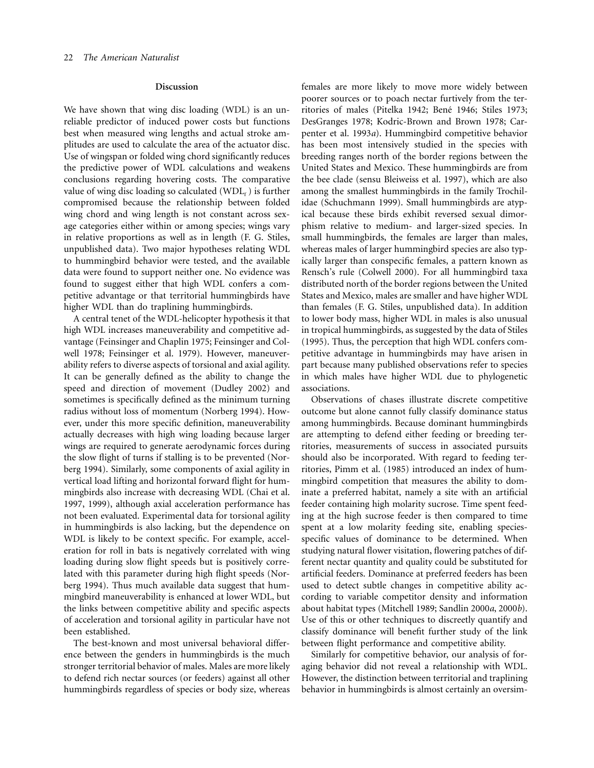#### **Discussion**

We have shown that wing disc loading (WDL) is an unreliable predictor of induced power costs but functions best when measured wing lengths and actual stroke amplitudes are used to calculate the area of the actuator disc. Use of wingspan or folded wing chord significantly reduces the predictive power of WDL calculations and weakens conclusions regarding hovering costs. The comparative value of wing disc loading so calculated  $(WDL<sub>f</sub>)$  is further compromised because the relationship between folded wing chord and wing length is not constant across sexage categories either within or among species; wings vary in relative proportions as well as in length (F. G. Stiles, unpublished data). Two major hypotheses relating WDL to hummingbird behavior were tested, and the available data were found to support neither one. No evidence was found to suggest either that high WDL confers a competitive advantage or that territorial hummingbirds have higher WDL than do traplining hummingbirds.

A central tenet of the WDL-helicopter hypothesis it that high WDL increases maneuverability and competitive advantage (Feinsinger and Chaplin 1975; Feinsinger and Colwell 1978; Feinsinger et al. 1979). However, maneuverability refers to diverse aspects of torsional and axial agility. It can be generally defined as the ability to change the speed and direction of movement (Dudley 2002) and sometimes is specifically defined as the minimum turning radius without loss of momentum (Norberg 1994). However, under this more specific definition, maneuverability actually decreases with high wing loading because larger wings are required to generate aerodynamic forces during the slow flight of turns if stalling is to be prevented (Norberg 1994). Similarly, some components of axial agility in vertical load lifting and horizontal forward flight for hummingbirds also increase with decreasing WDL (Chai et al. 1997, 1999), although axial acceleration performance has not been evaluated. Experimental data for torsional agility in hummingbirds is also lacking, but the dependence on WDL is likely to be context specific. For example, acceleration for roll in bats is negatively correlated with wing loading during slow flight speeds but is positively correlated with this parameter during high flight speeds (Norberg 1994). Thus much available data suggest that hummingbird maneuverability is enhanced at lower WDL, but the links between competitive ability and specific aspects of acceleration and torsional agility in particular have not been established.

The best-known and most universal behavioral difference between the genders in hummingbirds is the much stronger territorial behavior of males. Males are more likely to defend rich nectar sources (or feeders) against all other hummingbirds regardless of species or body size, whereas females are more likely to move more widely between poorer sources or to poach nectar furtively from the territories of males (Pitelka 1942; Bené 1946; Stiles 1973; DesGranges 1978; Kodric-Brown and Brown 1978; Carpenter et al. 1993*a*). Hummingbird competitive behavior has been most intensively studied in the species with breeding ranges north of the border regions between the United States and Mexico. These hummingbirds are from the bee clade (sensu Bleiweiss et al. 1997), which are also among the smallest hummingbirds in the family Trochilidae (Schuchmann 1999). Small hummingbirds are atypical because these birds exhibit reversed sexual dimorphism relative to medium- and larger-sized species. In small hummingbirds, the females are larger than males, whereas males of larger hummingbird species are also typically larger than conspecific females, a pattern known as Rensch's rule (Colwell 2000). For all hummingbird taxa distributed north of the border regions between the United States and Mexico, males are smaller and have higher WDL than females (F. G. Stiles, unpublished data). In addition to lower body mass, higher WDL in males is also unusual in tropical hummingbirds, as suggested by the data of Stiles (1995). Thus, the perception that high WDL confers competitive advantage in hummingbirds may have arisen in part because many published observations refer to species in which males have higher WDL due to phylogenetic associations.

Observations of chases illustrate discrete competitive outcome but alone cannot fully classify dominance status among hummingbirds. Because dominant hummingbirds are attempting to defend either feeding or breeding territories, measurements of success in associated pursuits should also be incorporated. With regard to feeding territories, Pimm et al. (1985) introduced an index of hummingbird competition that measures the ability to dominate a preferred habitat, namely a site with an artificial feeder containing high molarity sucrose. Time spent feeding at the high sucrose feeder is then compared to time spent at a low molarity feeding site, enabling speciesspecific values of dominance to be determined. When studying natural flower visitation, flowering patches of different nectar quantity and quality could be substituted for artificial feeders. Dominance at preferred feeders has been used to detect subtle changes in competitive ability according to variable competitor density and information about habitat types (Mitchell 1989; Sandlin 2000*a*, 2000*b*). Use of this or other techniques to discreetly quantify and classify dominance will benefit further study of the link between flight performance and competitive ability.

Similarly for competitive behavior, our analysis of foraging behavior did not reveal a relationship with WDL. However, the distinction between territorial and traplining behavior in hummingbirds is almost certainly an oversim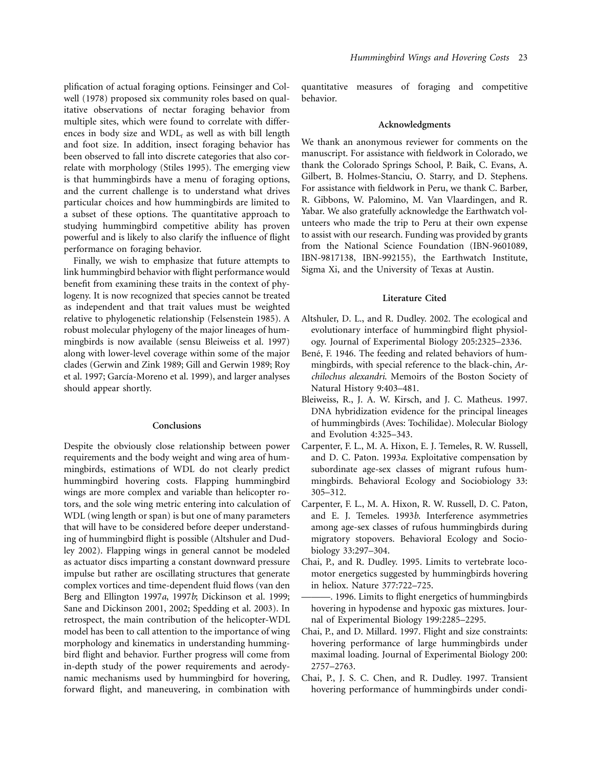plification of actual foraging options. Feinsinger and Colwell (1978) proposed six community roles based on qualitative observations of nectar foraging behavior from multiple sites, which were found to correlate with differences in body size and  $WDL_f$  as well as with bill length and foot size. In addition, insect foraging behavior has been observed to fall into discrete categories that also correlate with morphology (Stiles 1995). The emerging view is that hummingbirds have a menu of foraging options, and the current challenge is to understand what drives particular choices and how hummingbirds are limited to a subset of these options. The quantitative approach to studying hummingbird competitive ability has proven powerful and is likely to also clarify the influence of flight performance on foraging behavior.

Finally, we wish to emphasize that future attempts to link hummingbird behavior with flight performance would benefit from examining these traits in the context of phylogeny. It is now recognized that species cannot be treated as independent and that trait values must be weighted relative to phylogenetic relationship (Felsenstein 1985). A robust molecular phylogeny of the major lineages of hummingbirds is now available (sensu Bleiweiss et al. 1997) along with lower-level coverage within some of the major clades (Gerwin and Zink 1989; Gill and Gerwin 1989; Roy et al. 1997; García-Moreno et al. 1999), and larger analyses should appear shortly.

# **Conclusions**

Despite the obviously close relationship between power requirements and the body weight and wing area of hummingbirds, estimations of WDL do not clearly predict hummingbird hovering costs. Flapping hummingbird wings are more complex and variable than helicopter rotors, and the sole wing metric entering into calculation of WDL (wing length or span) is but one of many parameters that will have to be considered before deeper understanding of hummingbird flight is possible (Altshuler and Dudley 2002). Flapping wings in general cannot be modeled as actuator discs imparting a constant downward pressure impulse but rather are oscillating structures that generate complex vortices and time-dependent fluid flows (van den Berg and Ellington 1997*a*, 1997*b*; Dickinson et al. 1999; Sane and Dickinson 2001, 2002; Spedding et al. 2003). In retrospect, the main contribution of the helicopter-WDL model has been to call attention to the importance of wing morphology and kinematics in understanding hummingbird flight and behavior. Further progress will come from in-depth study of the power requirements and aerodynamic mechanisms used by hummingbird for hovering, forward flight, and maneuvering, in combination with

quantitative measures of foraging and competitive behavior.

#### **Acknowledgments**

We thank an anonymous reviewer for comments on the manuscript. For assistance with fieldwork in Colorado, we thank the Colorado Springs School, P. Baik, C. Evans, A. Gilbert, B. Holmes-Stanciu, O. Starry, and D. Stephens. For assistance with fieldwork in Peru, we thank C. Barber, R. Gibbons, W. Palomino, M. Van Vlaardingen, and R. Yabar. We also gratefully acknowledge the Earthwatch volunteers who made the trip to Peru at their own expense to assist with our research. Funding was provided by grants from the National Science Foundation (IBN-9601089, IBN-9817138, IBN-992155), the Earthwatch Institute, Sigma Xi, and the University of Texas at Austin.

## **Literature Cited**

- Altshuler, D. L., and R. Dudley. 2002. The ecological and evolutionary interface of hummingbird flight physiology. Journal of Experimental Biology 205:2325–2336.
- Bené, F. 1946. The feeding and related behaviors of hummingbirds, with special reference to the black-chin, *Archilochus alexandri*. Memoirs of the Boston Society of Natural History 9:403–481.
- Bleiweiss, R., J. A. W. Kirsch, and J. C. Matheus. 1997. DNA hybridization evidence for the principal lineages of hummingbirds (Aves: Tochilidae). Molecular Biology and Evolution 4:325–343.
- Carpenter, F. L., M. A. Hixon, E. J. Temeles, R. W. Russell, and D. C. Paton. 1993*a*. Exploitative compensation by subordinate age-sex classes of migrant rufous hummingbirds. Behavioral Ecology and Sociobiology 33: 305–312.
- Carpenter, F. L., M. A. Hixon, R. W. Russell, D. C. Paton, and E. J. Temeles. 1993*b*. Interference asymmetries among age-sex classes of rufous hummingbirds during migratory stopovers. Behavioral Ecology and Sociobiology 33:297–304.
- Chai, P., and R. Dudley. 1995. Limits to vertebrate locomotor energetics suggested by hummingbirds hovering in heliox. Nature 377:722–725.
- ———. 1996. Limits to flight energetics of hummingbirds hovering in hypodense and hypoxic gas mixtures. Journal of Experimental Biology 199:2285–2295.
- Chai, P., and D. Millard. 1997. Flight and size constraints: hovering performance of large hummingbirds under maximal loading. Journal of Experimental Biology 200: 2757–2763.
- Chai, P., J. S. C. Chen, and R. Dudley. 1997. Transient hovering performance of hummingbirds under condi-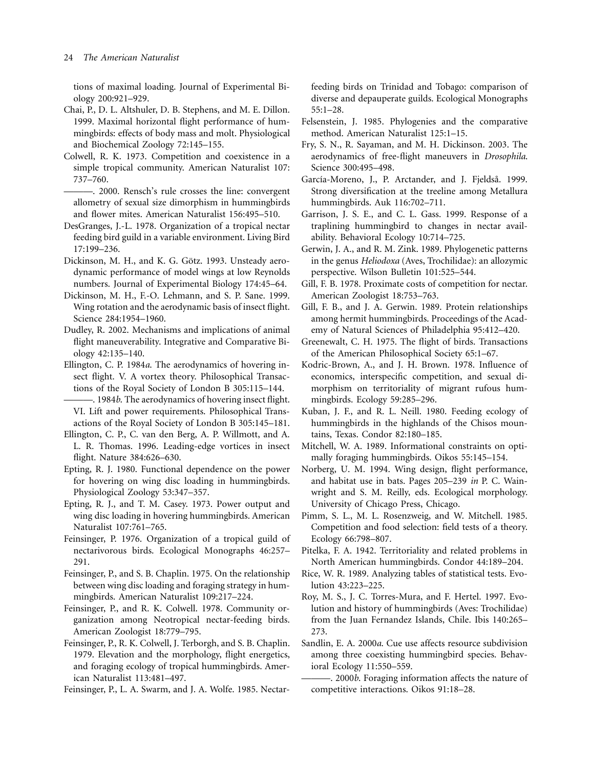tions of maximal loading. Journal of Experimental Biology 200:921–929.

Chai, P., D. L. Altshuler, D. B. Stephens, and M. E. Dillon. 1999. Maximal horizontal flight performance of hummingbirds: effects of body mass and molt. Physiological and Biochemical Zoology 72:145–155.

Colwell, R. K. 1973. Competition and coexistence in a simple tropical community. American Naturalist 107: 737–760.

———. 2000. Rensch's rule crosses the line: convergent allometry of sexual size dimorphism in hummingbirds and flower mites. American Naturalist 156:495–510.

DesGranges, J.-L. 1978. Organization of a tropical nectar feeding bird guild in a variable environment. Living Bird 17:199–236.

Dickinson, M. H., and K. G. Götz. 1993. Unsteady aerodynamic performance of model wings at low Reynolds numbers. Journal of Experimental Biology 174:45–64.

Dickinson, M. H., F.-O. Lehmann, and S. P. Sane. 1999. Wing rotation and the aerodynamic basis of insect flight. Science 284:1954–1960.

Dudley, R. 2002. Mechanisms and implications of animal flight maneuverability. Integrative and Comparative Biology 42:135–140.

Ellington, C. P. 1984*a*. The aerodynamics of hovering insect flight. V. A vortex theory. Philosophical Transactions of the Royal Society of London B 305:115–144.

-. 1984*b*. The aerodynamics of hovering insect flight. VI. Lift and power requirements. Philosophical Transactions of the Royal Society of London B 305:145–181.

Ellington, C. P., C. van den Berg, A. P. Willmott, and A. L. R. Thomas. 1996. Leading-edge vortices in insect flight. Nature 384:626–630.

Epting, R. J. 1980. Functional dependence on the power for hovering on wing disc loading in hummingbirds. Physiological Zoology 53:347–357.

Epting, R. J., and T. M. Casey. 1973. Power output and wing disc loading in hovering hummingbirds. American Naturalist 107:761–765.

Feinsinger, P. 1976. Organization of a tropical guild of nectarivorous birds. Ecological Monographs 46:257– 291.

Feinsinger, P., and S. B. Chaplin. 1975. On the relationship between wing disc loading and foraging strategy in hummingbirds. American Naturalist 109:217–224.

Feinsinger, P., and R. K. Colwell. 1978. Community organization among Neotropical nectar-feeding birds. American Zoologist 18:779–795.

Feinsinger, P., R. K. Colwell, J. Terborgh, and S. B. Chaplin. 1979. Elevation and the morphology, flight energetics, and foraging ecology of tropical hummingbirds. American Naturalist 113:481–497.

Feinsinger, P., L. A. Swarm, and J. A. Wolfe. 1985. Nectar-

feeding birds on Trinidad and Tobago: comparison of diverse and depauperate guilds. Ecological Monographs 55:1–28.

- Felsenstein, J. 1985. Phylogenies and the comparative method. American Naturalist 125:1–15.
- Fry, S. N., R. Sayaman, and M. H. Dickinson. 2003. The aerodynamics of free-flight maneuvers in *Drosophila*. Science 300:495–498.
- García-Moreno, J., P. Arctander, and J. Fjeldså. 1999. Strong diversification at the treeline among Metallura hummingbirds. Auk 116:702–711.

Garrison, J. S. E., and C. L. Gass. 1999. Response of a traplining hummingbird to changes in nectar availability. Behavioral Ecology 10:714–725.

Gerwin, J. A., and R. M. Zink. 1989. Phylogenetic patterns in the genus *Heliodoxa* (Aves, Trochilidae): an allozymic perspective. Wilson Bulletin 101:525–544.

- Gill, F. B. 1978. Proximate costs of competition for nectar. American Zoologist 18:753–763.
- Gill, F. B., and J. A. Gerwin. 1989. Protein relationships among hermit hummingbirds. Proceedings of the Academy of Natural Sciences of Philadelphia 95:412–420.
- Greenewalt, C. H. 1975. The flight of birds. Transactions of the American Philosophical Society 65:1–67.

Kodric-Brown, A., and J. H. Brown. 1978. Influence of economics, interspecific competition, and sexual dimorphism on territoriality of migrant rufous hummingbirds. Ecology 59:285–296.

- Kuban, J. F., and R. L. Neill. 1980. Feeding ecology of hummingbirds in the highlands of the Chisos mountains, Texas. Condor 82:180–185.
- Mitchell, W. A. 1989. Informational constraints on optimally foraging hummingbirds. Oikos 55:145–154.

Norberg, U. M. 1994. Wing design, flight performance, and habitat use in bats. Pages 205–239 *in* P. C. Wainwright and S. M. Reilly, eds. Ecological morphology. University of Chicago Press, Chicago.

Pimm, S. L., M. L. Rosenzweig, and W. Mitchell. 1985. Competition and food selection: field tests of a theory. Ecology 66:798–807.

Pitelka, F. A. 1942. Territoriality and related problems in North American hummingbirds. Condor 44:189–204.

Rice, W. R. 1989. Analyzing tables of statistical tests. Evolution 43:223–225.

Roy, M. S., J. C. Torres-Mura, and F. Hertel. 1997. Evolution and history of hummingbirds (Aves: Trochilidae) from the Juan Fernandez Islands, Chile. Ibis 140:265– 273.

Sandlin, E. A. 2000*a*. Cue use affects resource subdivision among three coexisting hummingbird species. Behavioral Ecology 11:550–559.

———. 2000*b*. Foraging information affects the nature of competitive interactions. Oikos 91:18–28.